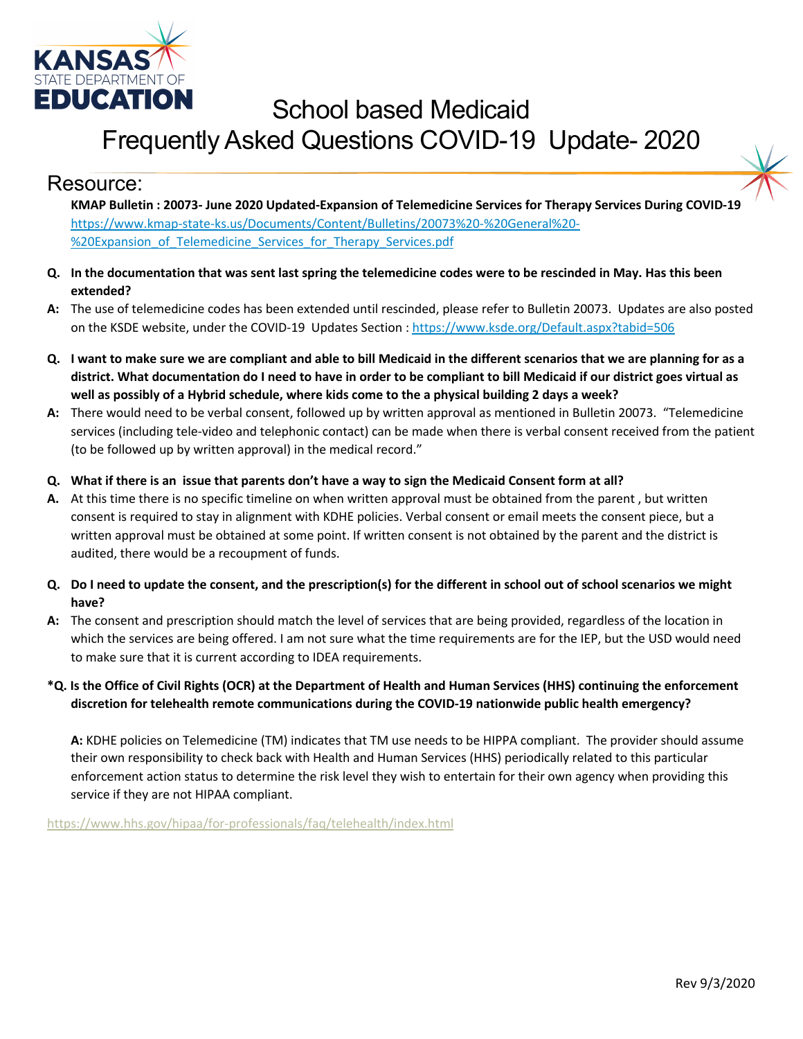

## School based Medicaid

## Frequently Asked Questions COVID-19 Update- 2020

## Resource:

**KMAP Bulletin : 20073- June 2020 Updated-Expansion of Telemedicine Services for Therapy Services During COVID-19** https://www.kmap-state-ks.us/Documents/Content/Bulletins/20073%20-%20General%20- %20Expansion\_of\_Telemedicine\_Services\_for\_Therapy\_Services.pdf

- **Q. In the documentation that was sent last spring the telemedicine codes were to be rescinded in May. Has this been extended?**
- **A:** The use of telemedicine codes has been extended until rescinded, please refer to Bulletin 20073. Updates are also posted on the KSDE website, under the COVID-19 Updates Section : https://www.ksde.org/Default.aspx?tabid=506
- **Q. I want to make sure we are compliant and able to bill Medicaid in the different scenarios that we are planning for as a district. What documentation do I need to have in order to be compliant to bill Medicaid if our district goes virtual as well as possibly of a Hybrid schedule, where kids come to the a physical building 2 days a week?**
- **A:** There would need to be verbal consent, followed up by written approval as mentioned in Bulletin 20073. "Telemedicine services (including tele-video and telephonic contact) can be made when there is verbal consent received from the patient (to be followed up by written approval) in the medical record."
- **Q. What if there is an issue that parents don't have a way to sign the Medicaid Consent form at all?**
- **A.** At this time there is no specific timeline on when written approval must be obtained from the parent , but written consent is required to stay in alignment with KDHE policies. Verbal consent or email meets the consent piece, but a written approval must be obtained at some point. If written consent is not obtained by the parent and the district is audited, there would be a recoupment of funds.
- **Q. Do I need to update the consent, and the prescription(s) for the different in school out of school scenarios we might have?**
- **A:** The consent and prescription should match the level of services that are being provided, regardless of the location in which the services are being offered. I am not sure what the time requirements are for the IEP, but the USD would need to make sure that it is current according to IDEA requirements.
- **\*Q. Is the Office of Civil Rights (OCR) at the Department of Health and Human Services (HHS) continuing the enforcement discretion for telehealth remote communications during the COVID-19 nationwide public health emergency?**

**A:** KDHE policies on Telemedicine (TM) indicates that TM use needs to be HIPPA compliant. The provider should assume their own responsibility to check back with Health and Human Services (HHS) periodically related to this particular enforcement action status to determine the risk level they wish to entertain for their own agency when providing this service if they are not HIPAA compliant.

https://www.hhs.gov/hipaa/for-professionals/faq/telehealth/index.html